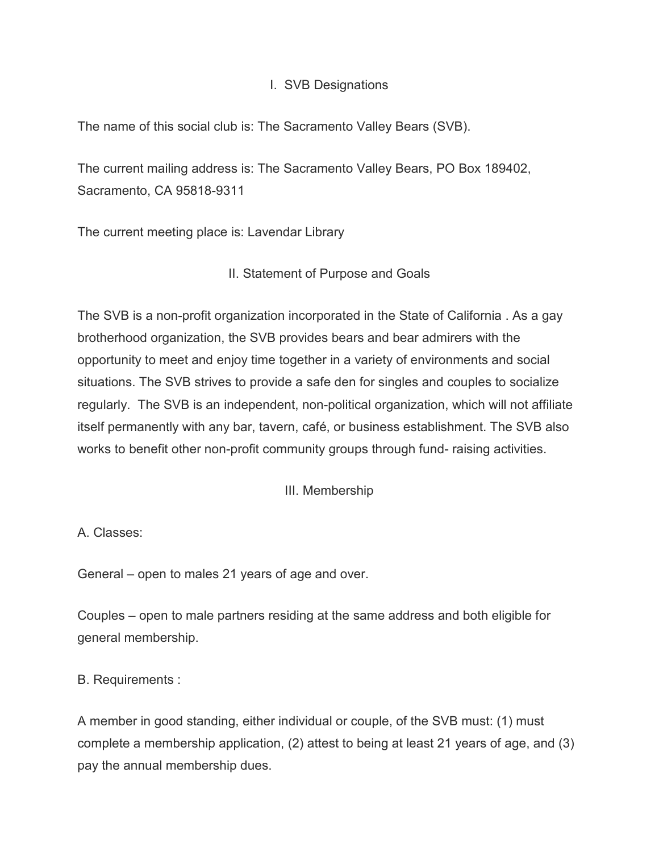#### I. SVB Designations

The name of this social club is: The Sacramento Valley Bears (SVB).

The current mailing address is: The Sacramento Valley Bears, PO Box 189402, Sacramento, CA 95818-9311

The current meeting place is: Lavendar Library

## II. Statement of Purpose and Goals

The SVB is a non-profit organization incorporated in the State of California . As a gay brotherhood organization, the SVB provides bears and bear admirers with the opportunity to meet and enjoy time together in a variety of environments and social situations. The SVB strives to provide a safe den for singles and couples to socialize regularly. The SVB is an independent, non-political organization, which will not affiliate itself permanently with any bar, tavern, café, or business establishment. The SVB also works to benefit other non-profit community groups through fund- raising activities.

III. Membership

A. Classes:

General – open to males 21 years of age and over.

Couples – open to male partners residing at the same address and both eligible for general membership.

B. Requirements :

A member in good standing, either individual or couple, of the SVB must: (1) must complete a membership application, (2) attest to being at least 21 years of age, and (3) pay the annual membership dues.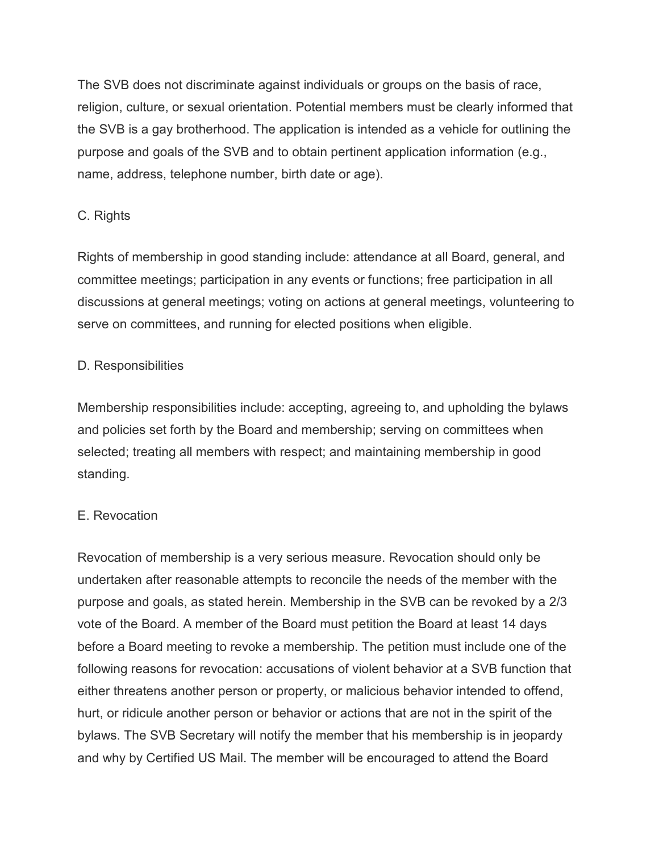The SVB does not discriminate against individuals or groups on the basis of race, religion, culture, or sexual orientation. Potential members must be clearly informed that the SVB is a gay brotherhood. The application is intended as a vehicle for outlining the purpose and goals of the SVB and to obtain pertinent application information (e.g., name, address, telephone number, birth date or age).

# C. Rights

Rights of membership in good standing include: attendance at all Board, general, and committee meetings; participation in any events or functions; free participation in all discussions at general meetings; voting on actions at general meetings, volunteering to serve on committees, and running for elected positions when eligible.

## D. Responsibilities

Membership responsibilities include: accepting, agreeing to, and upholding the bylaws and policies set forth by the Board and membership; serving on committees when selected; treating all members with respect; and maintaining membership in good standing.

# E. Revocation

Revocation of membership is a very serious measure. Revocation should only be undertaken after reasonable attempts to reconcile the needs of the member with the purpose and goals, as stated herein. Membership in the SVB can be revoked by a 2/3 vote of the Board. A member of the Board must petition the Board at least 14 days before a Board meeting to revoke a membership. The petition must include one of the following reasons for revocation: accusations of violent behavior at a SVB function that either threatens another person or property, or malicious behavior intended to offend, hurt, or ridicule another person or behavior or actions that are not in the spirit of the bylaws. The SVB Secretary will notify the member that his membership is in jeopardy and why by Certified US Mail. The member will be encouraged to attend the Board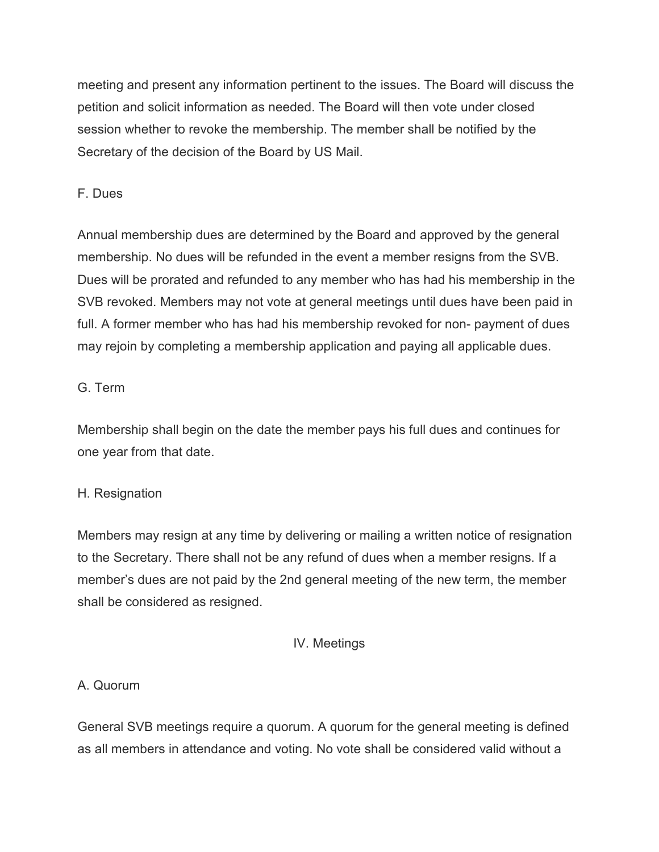meeting and present any information pertinent to the issues. The Board will discuss the petition and solicit information as needed. The Board will then vote under closed session whether to revoke the membership. The member shall be notified by the Secretary of the decision of the Board by US Mail.

# F. Dues

Annual membership dues are determined by the Board and approved by the general membership. No dues will be refunded in the event a member resigns from the SVB. Dues will be prorated and refunded to any member who has had his membership in the SVB revoked. Members may not vote at general meetings until dues have been paid in full. A former member who has had his membership revoked for non- payment of dues may rejoin by completing a membership application and paying all applicable dues.

## G. Term

Membership shall begin on the date the member pays his full dues and continues for one year from that date.

## H. Resignation

Members may resign at any time by delivering or mailing a written notice of resignation to the Secretary. There shall not be any refund of dues when a member resigns. If a member's dues are not paid by the 2nd general meeting of the new term, the member shall be considered as resigned.

# IV. Meetings

## A. Quorum

General SVB meetings require a quorum. A quorum for the general meeting is defined as all members in attendance and voting. No vote shall be considered valid without a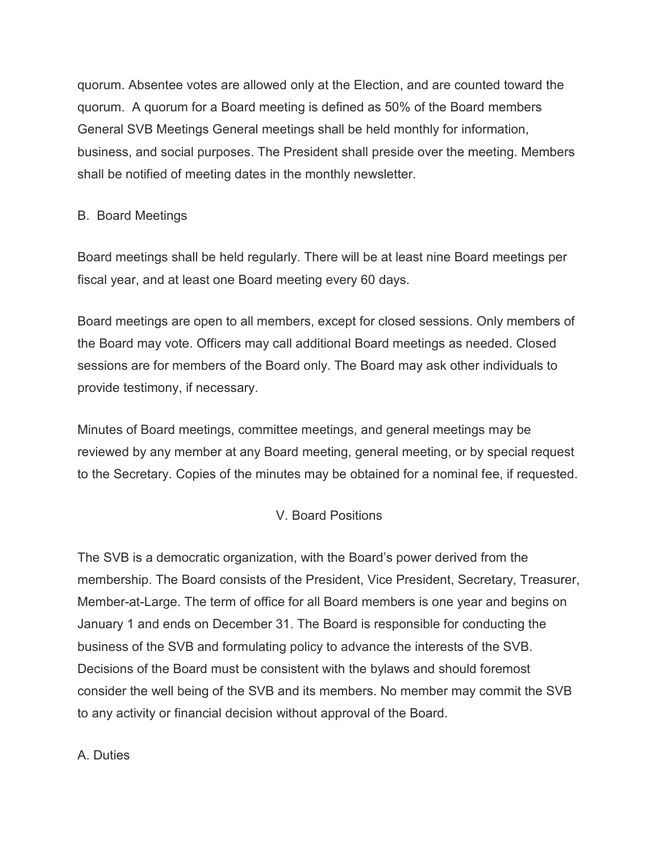quorum. Absentee votes are allowed only at the Election, and are counted toward the quorum. A quorum for a Board meeting is defined as 50% of the Board members General SVB Meetings General meetings shall be held monthly for information, business, and social purposes. The President shall preside over the meeting. Members shall be notified of meeting dates in the monthly newsletter.

## B. Board Meetings

Board meetings shall be held regularly. There will be at least nine Board meetings per fiscal year, and at least one Board meeting every 60 days.

Board meetings are open to all members, except for closed sessions. Only members of the Board may vote. Officers may call additional Board meetings as needed. Closed sessions are for members of the Board only. The Board may ask other individuals to provide testimony, if necessary.

Minutes of Board meetings, committee meetings, and general meetings may be reviewed by any member at any Board meeting, general meeting, or by special request to the Secretary. Copies of the minutes may be obtained for a nominal fee, if requested.

# V. Board Positions

The SVB is a democratic organization, with the Board's power derived from the membership. The Board consists of the President, Vice President, Secretary, Treasurer, Member-at-Large. The term of office for all Board members is one year and begins on January 1 and ends on December 31. The Board is responsible for conducting the business of the SVB and formulating policy to advance the interests of the SVB. Decisions of the Board must be consistent with the bylaws and should foremost consider the well being of the SVB and its members. No member may commit the SVB to any activity or financial decision without approval of the Board.

## A. Duties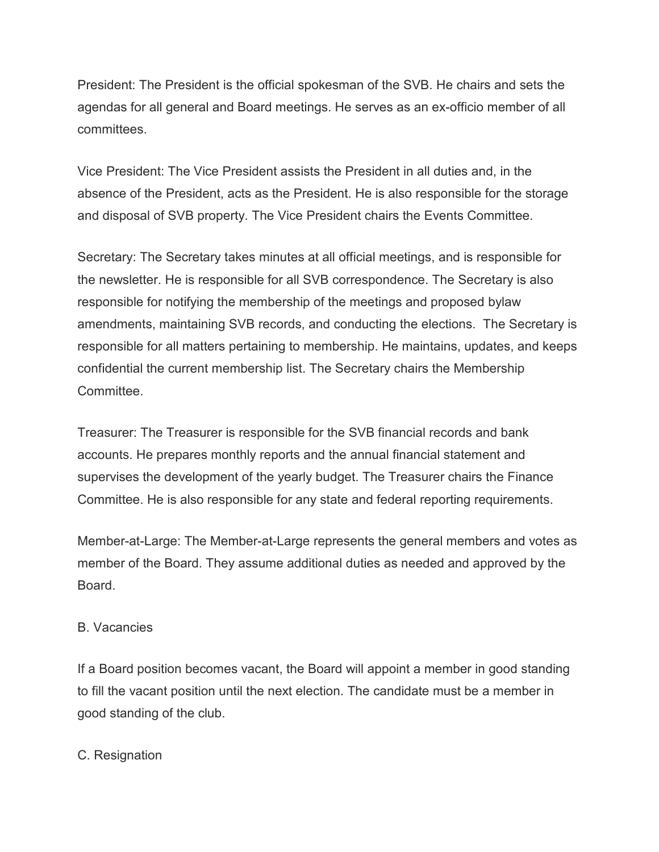President: The President is the official spokesman of the SVB. He chairs and sets the agendas for all general and Board meetings. He serves as an ex-officio member of all committees.

Vice President: The Vice President assists the President in all duties and, in the absence of the President, acts as the President. He is also responsible for the storage and disposal of SVB property. The Vice President chairs the Events Committee.

Secretary: The Secretary takes minutes at all official meetings, and is responsible for the newsletter. He is responsible for all SVB correspondence. The Secretary is also responsible for notifying the membership of the meetings and proposed bylaw amendments, maintaining SVB records, and conducting the elections. The Secretary is responsible for all matters pertaining to membership. He maintains, updates, and keeps confidential the current membership list. The Secretary chairs the Membership Committee.

Treasurer: The Treasurer is responsible for the SVB financial records and bank accounts. He prepares monthly reports and the annual financial statement and supervises the development of the yearly budget. The Treasurer chairs the Finance Committee. He is also responsible for any state and federal reporting requirements.

Member-at-Large: The Member-at-Large represents the general members and votes as member of the Board. They assume additional duties as needed and approved by the Board.

## B. Vacancies

If a Board position becomes vacant, the Board will appoint a member in good standing to fill the vacant position until the next election. The candidate must be a member in good standing of the club.

#### C. Resignation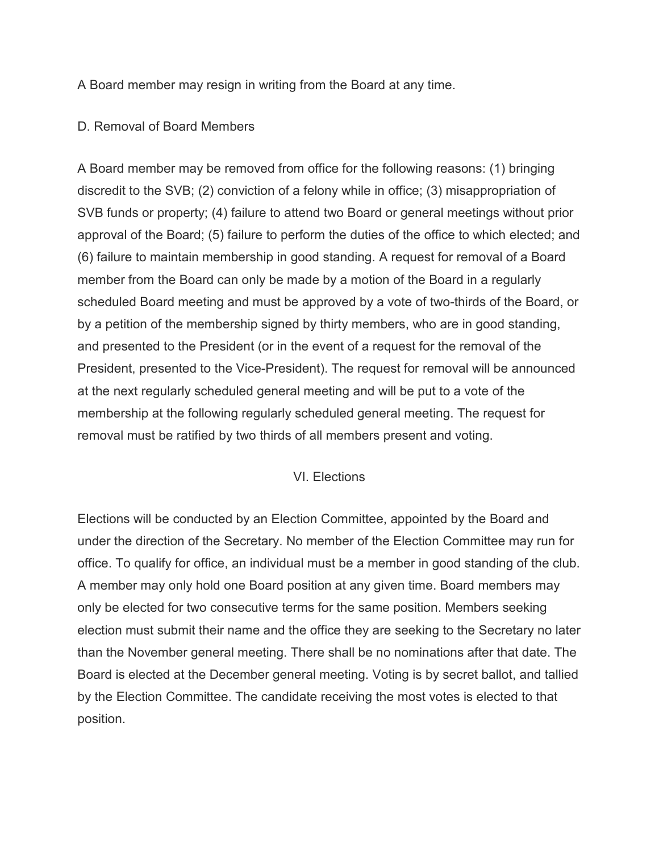A Board member may resign in writing from the Board at any time.

#### D. Removal of Board Members

A Board member may be removed from office for the following reasons: (1) bringing discredit to the SVB; (2) conviction of a felony while in office; (3) misappropriation of SVB funds or property; (4) failure to attend two Board or general meetings without prior approval of the Board; (5) failure to perform the duties of the office to which elected; and (6) failure to maintain membership in good standing. A request for removal of a Board member from the Board can only be made by a motion of the Board in a regularly scheduled Board meeting and must be approved by a vote of two-thirds of the Board, or by a petition of the membership signed by thirty members, who are in good standing, and presented to the President (or in the event of a request for the removal of the President, presented to the Vice-President). The request for removal will be announced at the next regularly scheduled general meeting and will be put to a vote of the membership at the following regularly scheduled general meeting. The request for removal must be ratified by two thirds of all members present and voting.

## VI. Elections

Elections will be conducted by an Election Committee, appointed by the Board and under the direction of the Secretary. No member of the Election Committee may run for office. To qualify for office, an individual must be a member in good standing of the club. A member may only hold one Board position at any given time. Board members may only be elected for two consecutive terms for the same position. Members seeking election must submit their name and the office they are seeking to the Secretary no later than the November general meeting. There shall be no nominations after that date. The Board is elected at the December general meeting. Voting is by secret ballot, and tallied by the Election Committee. The candidate receiving the most votes is elected to that position.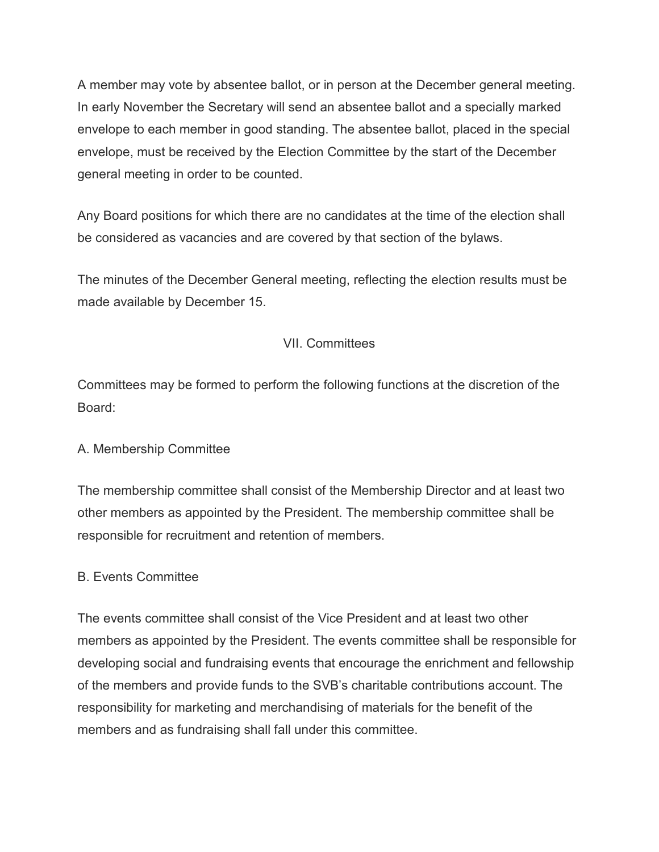A member may vote by absentee ballot, or in person at the December general meeting. In early November the Secretary will send an absentee ballot and a specially marked envelope to each member in good standing. The absentee ballot, placed in the special envelope, must be received by the Election Committee by the start of the December general meeting in order to be counted.

Any Board positions for which there are no candidates at the time of the election shall be considered as vacancies and are covered by that section of the bylaws.

The minutes of the December General meeting, reflecting the election results must be made available by December 15.

## VII. Committees

Committees may be formed to perform the following functions at the discretion of the Board:

## A. Membership Committee

The membership committee shall consist of the Membership Director and at least two other members as appointed by the President. The membership committee shall be responsible for recruitment and retention of members.

## B. Events Committee

The events committee shall consist of the Vice President and at least two other members as appointed by the President. The events committee shall be responsible for developing social and fundraising events that encourage the enrichment and fellowship of the members and provide funds to the SVB's charitable contributions account. The responsibility for marketing and merchandising of materials for the benefit of the members and as fundraising shall fall under this committee.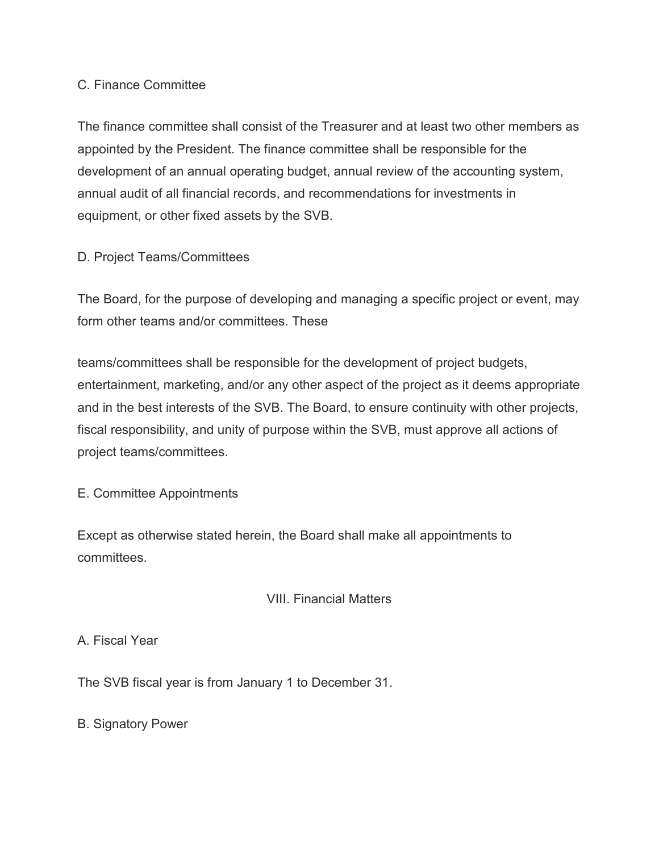#### C. Finance Committee

The finance committee shall consist of the Treasurer and at least two other members as appointed by the President. The finance committee shall be responsible for the development of an annual operating budget, annual review of the accounting system, annual audit of all financial records, and recommendations for investments in equipment, or other fixed assets by the SVB.

## D. Project Teams/Committees

The Board, for the purpose of developing and managing a specific project or event, may form other teams and/or committees. These

teams/committees shall be responsible for the development of project budgets, entertainment, marketing, and/or any other aspect of the project as it deems appropriate and in the best interests of the SVB. The Board, to ensure continuity with other projects, fiscal responsibility, and unity of purpose within the SVB, must approve all actions of project teams/committees.

E. Committee Appointments

Except as otherwise stated herein, the Board shall make all appointments to committees.

## VIII. Financial Matters

A. Fiscal Year

The SVB fiscal year is from January 1 to December 31.

B. Signatory Power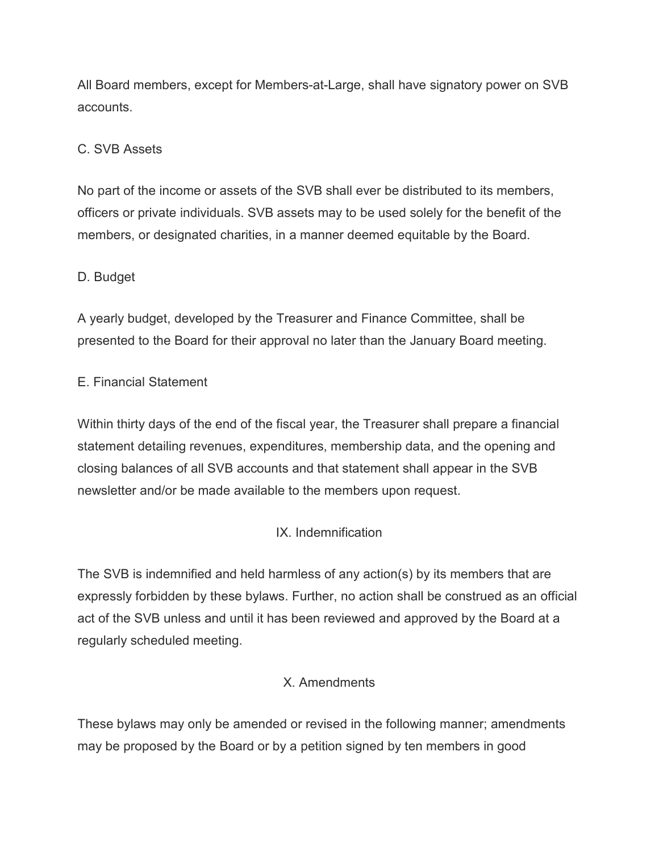All Board members, except for Members-at-Large, shall have signatory power on SVB accounts.

# C. SVB Assets

No part of the income or assets of the SVB shall ever be distributed to its members, officers or private individuals. SVB assets may to be used solely for the benefit of the members, or designated charities, in a manner deemed equitable by the Board.

## D. Budget

A yearly budget, developed by the Treasurer and Finance Committee, shall be presented to the Board for their approval no later than the January Board meeting.

## E. Financial Statement

Within thirty days of the end of the fiscal year, the Treasurer shall prepare a financial statement detailing revenues, expenditures, membership data, and the opening and closing balances of all SVB accounts and that statement shall appear in the SVB newsletter and/or be made available to the members upon request.

## IX. Indemnification

The SVB is indemnified and held harmless of any action(s) by its members that are expressly forbidden by these bylaws. Further, no action shall be construed as an official act of the SVB unless and until it has been reviewed and approved by the Board at a regularly scheduled meeting.

## X. Amendments

These bylaws may only be amended or revised in the following manner; amendments may be proposed by the Board or by a petition signed by ten members in good